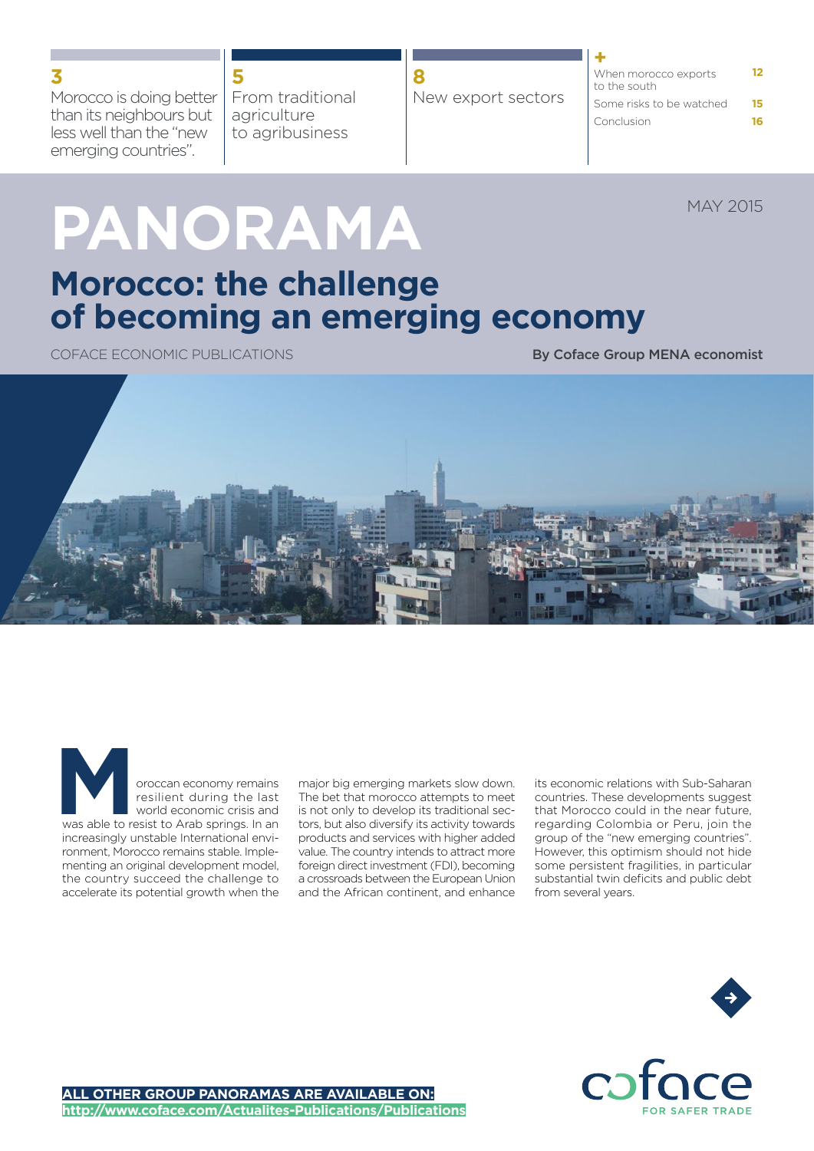Morocco is doing better than its neighbours but less well than the "new emerging countries".

From traditional agriculture to agribusiness

| New export sectors | When morocco exports<br>to the south |    |
|--------------------|--------------------------------------|----|
|                    | Some risks to be watched             | 15 |
|                    | Conclusion                           |    |

MAY 2015

# **PANORAMA**

**5**

### **Morocco: the challenge of becoming an emerging economy**

COFACE ECONOMIC PUBLICATIONS **By Coface Group MENA economist** 



oroccan economy remains resilient during the last world economic crisis and was able to resist to Arab springs. In an increasingly unstable International environment, Morocco remains stable. Implementing an original development model, the country succeed the challenge to accelerate its potential growth when the oroccan economy remains major big emerging markets slow down.<br>
resilient during the last The bet that morocco attempts to meet<br>
world economic crisis and is not only to develop its traditional sec-<br>
was able to resist to A

The bet that morocco attempts to meet is not only to develop its traditional sectors, but also diversify its activity towards products and services with higher added value. The country intends to attract more foreign direct investment (FDI), becoming a crossroads between the European Union and the African continent, and enhance

its economic relations with Sub-Saharan countries. These developments suggest that Morocco could in the near future, regarding Colombia or Peru, join the group of the "new emerging countries". However, this optimism should not hide some persistent fragilities, in particular substantial twin deficits and public debt from several years.



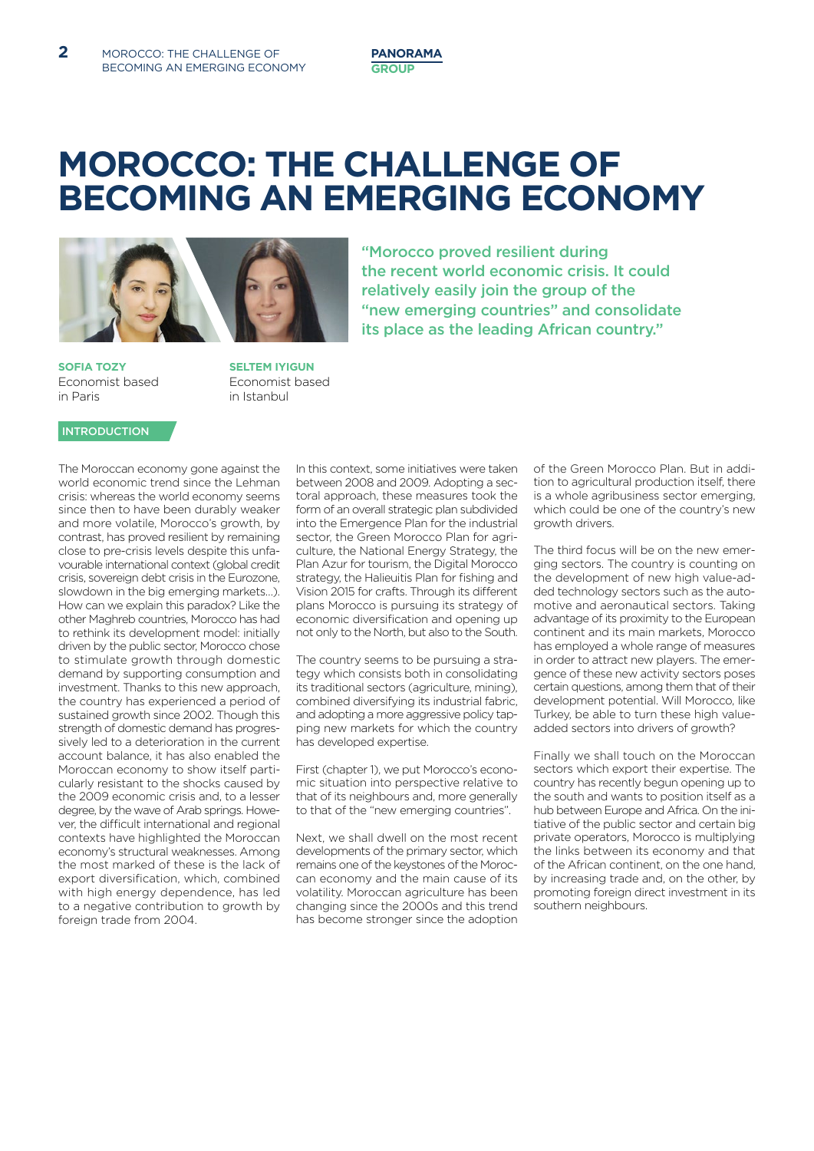### **MOROCCO: THE CHALLENGE OF BECOMING AN EMERGING ECONOMY**

"Morocco proved resilient during

the recent world economic crisis. It could relatively easily join the group of the

"new emerging countries" and consolidate its place as the leading African country."



**Sofia tozY** Economist based in Paris

**Seltem IYIGUN** Economist based in Istanbul

#### **INTRODUCTION**

The Moroccan economy gone against the world economic trend since the Lehman crisis: whereas the world economy seems since then to have been durably weaker and more volatile, Morocco's growth, by contrast, has proved resilient by remaining close to pre-crisis levels despite this unfavourable international context (global credit crisis, sovereign debt crisis in the Eurozone, slowdown in the big emerging markets…). How can we explain this paradox? Like the other Maghreb countries, Morocco has had to rethink its development model: initially driven by the public sector, Morocco chose to stimulate growth through domestic demand by supporting consumption and investment. Thanks to this new approach the country has experienced a period of sustained growth since 2002. Though this strength of domestic demand has progressively led to a deterioration in the current account balance, it has also enabled the Moroccan economy to show itself particularly resistant to the shocks caused by the 2009 economic crisis and, to a lesser degree, by the wave of Arab springs. However, the difficult international and regional contexts have highlighted the Moroccan economy's structural weaknesses. Among the most marked of these is the lack of export diversification, which, combined with high energy dependence, has led to a negative contribution to growth by foreign trade from 2004.

In this context, some initiatives were taken between 2008 and 2009. Adopting a sectoral approach, these measures took the form of an overall strategic plan subdivided into the Emergence Plan for the industrial sector, the Green Morocco Plan for agriculture, the National Energy Strategy, the Plan Azur for tourism, the Digital Morocco strategy, the Halieuitis Plan for fishing and Vision 2015 for crafts. Through its different plans Morocco is pursuing its strategy of economic diversification and opening up not only to the North, but also to the South.

The country seems to be pursuing a strategy which consists both in consolidating its traditional sectors (agriculture, mining), combined diversifying its industrial fabric, and adopting a more aggressive policy tapping new markets for which the country has developed expertise.

First (chapter 1), we put Morocco's economic situation into perspective relative to that of its neighbours and, more generally to that of the "new emerging countries".

Next, we shall dwell on the most recent developments of the primary sector, which remains one of the keystones of the Moroccan economy and the main cause of its volatility. Moroccan agriculture has been changing since the 2000s and this trend has become stronger since the adoption

of the Green Morocco Plan. But in addition to agricultural production itself, there is a whole agribusiness sector emerging, which could be one of the country's new growth drivers.

The third focus will be on the new emerging sectors. The country is counting on the development of new high value-added technology sectors such as the automotive and aeronautical sectors. Taking advantage of its proximity to the European continent and its main markets, Morocco has employed a whole range of measures in order to attract new players. The emergence of these new activity sectors poses certain questions, among them that of their development potential. Will Morocco, like Turkey, be able to turn these high valueadded sectors into drivers of growth?

Finally we shall touch on the Moroccan sectors which export their expertise. The country has recently begun opening up to the south and wants to position itself as a hub between Europe and Africa. On the initiative of the public sector and certain big private operators, Morocco is multiplying the links between its economy and that of the African continent, on the one hand, by increasing trade and, on the other, by promoting foreign direct investment in its southern neighbours.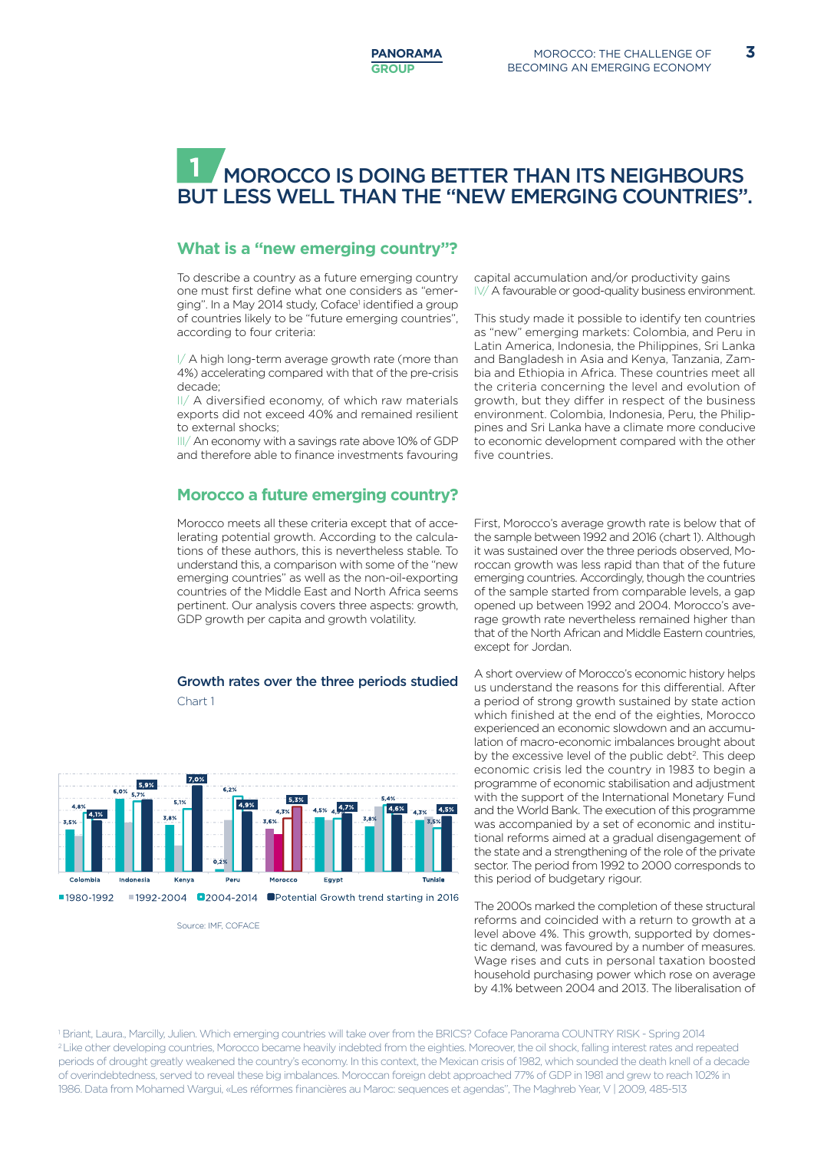#### Morocco is doing better than its neighbours but less well than the "new emerging countries". **1**

#### **What is a "new emerging country"?**

To describe a country as a future emerging country one must first define what one considers as "emerging". In a May 2014 study, Coface<sup>1</sup> identified a group of countries likely to be "future emerging countries", according to four criteria:

I/ A high long-term average growth rate (more than 4%) accelerating compared with that of the pre-crisis decade;

II/ A diversified economy, of which raw materials exports did not exceed 40% and remained resilient to external shocks;

III/ An economy with a savings rate above 10% of GDP and therefore able to finance investments favouring

#### **Morocco a future emerging country?**

Morocco meets all these criteria except that of accelerating potential growth. According to the calculations of these authors, this is nevertheless stable. To understand this, a comparison with some of the "new emerging countries" as well as the non-oil-exporting countries of the Middle East and North Africa seems pertinent. Our analysis covers three aspects: growth, GDP growth per capita and growth volatility.

#### Growth rates over the three periods studied

Chart 1



Source: IME, COEACE

capital accumulation and/or productivity gains IV/ A favourable or good-quality business environment.

This study made it possible to identify ten countries as "new" emerging markets: Colombia, and Peru in Latin America, Indonesia, the Philippines, Sri Lanka and Bangladesh in Asia and Kenya, Tanzania, Zambia and Ethiopia in Africa. These countries meet all the criteria concerning the level and evolution of growth, but they differ in respect of the business environment. Colombia, Indonesia, Peru, the Philippines and Sri Lanka have a climate more conducive to economic development compared with the other five countries.

First, Morocco's average growth rate is below that of the sample between 1992 and 2016 (chart 1). Although it was sustained over the three periods observed, Moroccan growth was less rapid than that of the future emerging countries. Accordingly, though the countries of the sample started from comparable levels, a gap opened up between 1992 and 2004. Morocco's average growth rate nevertheless remained higher than that of the North African and Middle Eastern countries, except for Jordan.

A short overview of Morocco's economic history helps us understand the reasons for this differential. After a period of strong growth sustained by state action which finished at the end of the eighties, Morocco experienced an economic slowdown and an accumulation of macro-economic imbalances brought about by the excessive level of the public debt<sup>2</sup>. This deep economic crisis led the country in 1983 to begin a programme of economic stabilisation and adjustment with the support of the International Monetary Fund and the World Bank. The execution of this programme was accompanied by a set of economic and institutional reforms aimed at a gradual disengagement of the state and a strengthening of the role of the private sector. The period from 1992 to 2000 corresponds to this period of budgetary rigour.

The 2000s marked the completion of these structural reforms and coincided with a return to growth at a level above 4%. This growth, supported by domestic demand, was favoured by a number of measures. Wage rises and cuts in personal taxation boosted household purchasing power which rose on average by 4.1% between 2004 and 2013. The liberalisation of

1 Briant, Laura., Marcilly, Julien. Which emerging countries will take over from the BRICS? Coface Panorama COUNTRY RISK - Spring 2014 <sup>2</sup> Like other developing countries, Morocco became heavily indebted from the eighties. Moreover, the oil shock, falling interest rates and repeated periods of drought greatly weakened the country's economy. In this context, the Mexican crisis of 1982, which sounded the death knell of a decade of overindebtedness, served to reveal these big imbalances. Moroccan foreign debt approached 77% of GDP in 1981 and grew to reach 102% in 1986. Data from Mohamed Wargui, «Les réformes financières au Maroc: sequences et agendas", The Maghreb Year, V | 2009, 485-513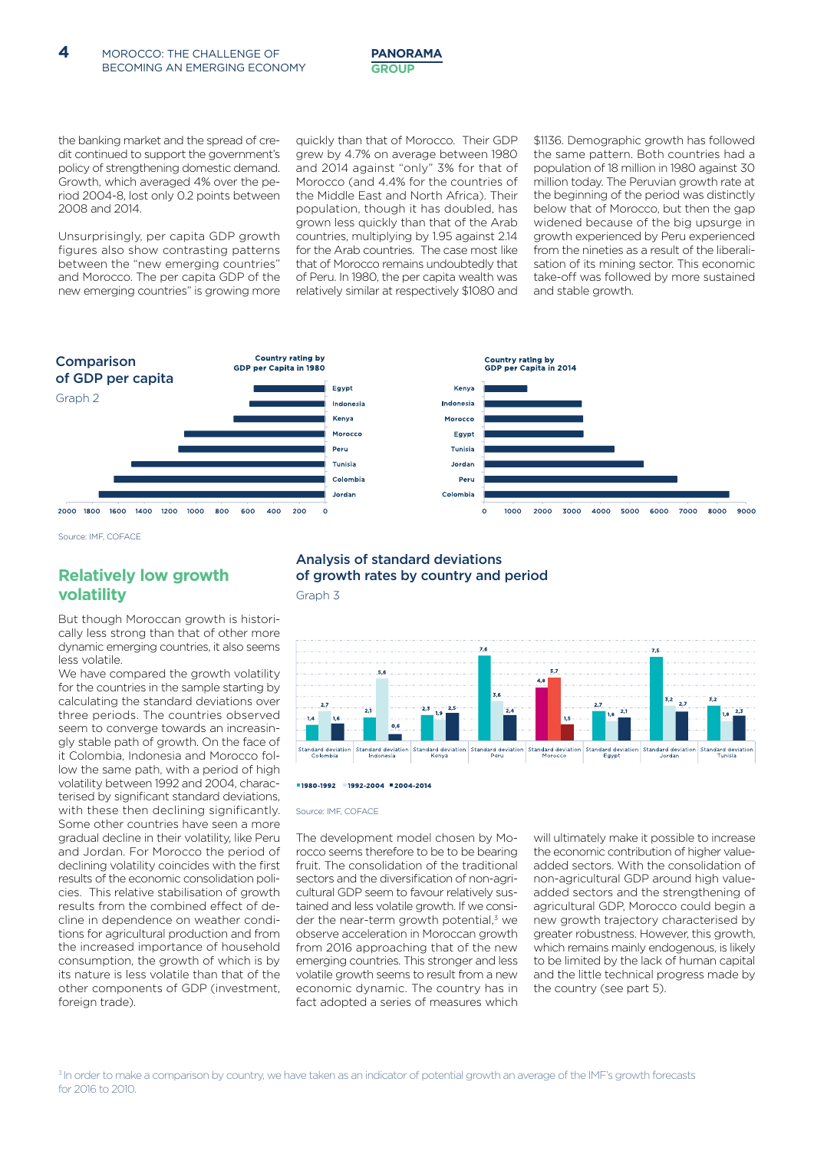

the banking market and the spread of credit continued to support the government's policy of strengthening domestic demand. Growth, which averaged 4% over the period 2004-8, lost only 0.2 points between 2008 and 2014.

Unsurprisingly, per capita GDP growth figures also show contrasting patterns between the "new emerging countries" and Morocco. The per capita GDP of the new emerging countries" is growing more quickly than that of Morocco. Their GDP grew by 4.7% on average between 1980 and 2014 against "only" 3% for that of Morocco (and 4.4% for the countries of the Middle East and North Africa). Their population, though it has doubled, has grown less quickly than that of the Arab countries, multiplying by 1.95 against 2.14 for the Arab countries. The case most like that of Morocco remains undoubtedly that of Peru. In 1980, the per capita wealth was relatively similar at respectively \$1080 and

\$1136. Demographic growth has followed the same pattern. Both countries had a population of 18 million in 1980 against 30 million today. The Peruvian growth rate at the beginning of the period was distinctly below that of Morocco, but then the gap widened because of the big upsurge in growth experienced by Peru experienced from the nineties as a result of the liberalisation of its mining sector. This economic take-off was followed by more sustained and stable growth.



Source: IMF, COFACE

#### **Relatively low growth volatility**

But though Moroccan growth is historically less strong than that of other more dynamic emerging countries, it also seems less volatile.

We have compared the growth volatility for the countries in the sample starting by calculating the standard deviations over three periods. The countries observed seem to converge towards an increasingly stable path of growth. On the face of it Colombia, Indonesia and Morocco follow the same path, with a period of high volatility between 1992 and 2004, characterised by significant standard deviations, with these then declining significantly. Some other countries have seen a more gradual decline in their volatility, like Peru and Jordan. For Morocco the period of declining volatility coincides with the first results of the economic consolidation policies. This relative stabilisation of growth results from the combined effect of decline in dependence on weather conditions for agricultural production and from the increased importance of household consumption, the growth of which is by its nature is less volatile than that of the other components of GDP (investment, foreign trade).

### Analysis of standard deviations of growth rates by country and period

Graph 3



#### ■1980-1992 ■1992-2004 ■2004-2014

#### Source: IME, COFACE

The development model chosen by Morocco seems therefore to be to be bearing fruit. The consolidation of the traditional sectors and the diversification of non-agricultural GDP seem to favour relatively sustained and less volatile growth. If we consider the near-term growth potential,<sup>3</sup> we observe acceleration in Moroccan growth from 2016 approaching that of the new emerging countries. This stronger and less volatile growth seems to result from a new economic dynamic. The country has in fact adopted a series of measures which

will ultimately make it possible to increase the economic contribution of higher valueadded sectors. With the consolidation of non-agricultural GDP around high valueadded sectors and the strengthening of agricultural GDP, Morocco could begin a new growth trajectory characterised by greater robustness. However, this growth, which remains mainly endogenous, is likely to be limited by the lack of human capital and the little technical progress made by the country (see part 5).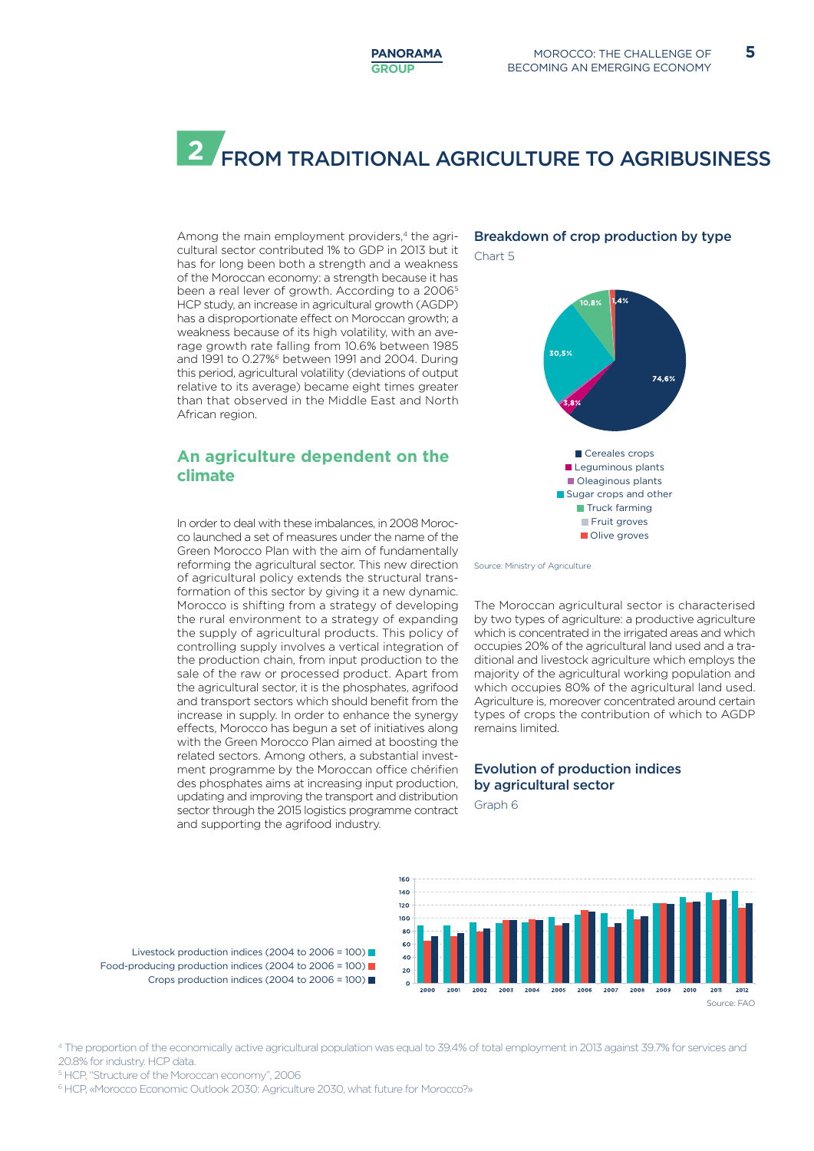## **2** FROM TRADITIONAL AGRICULTURE TO AGRIBUSINESS

Among the main employment providers,<sup>4</sup> the agricultural sector contributed 1% to GDP in 2013 but it has for long been both a strength and a weakness of the Moroccan economy: a strength because it has been a real lever of growth. According to a 2006<sup>5</sup> HCP study, an increase in agricultural growth (AGDP) has a disproportionate effect on Moroccan growth; a weakness because of its high volatility, with an average growth rate falling from 10.6% between 1985 and 1991 to 0.27%<sup>6</sup> between 1991 and 2004. During this period, agricultural volatility (deviations of output relative to its average) became eight times greater than that observed in the Middle East and North African region.

#### **An agriculture dependent on the climate**

In order to deal with these imbalances, in 2008 Morocco launched a set of measures under the name of the Green Morocco Plan with the aim of fundamentally reforming the agricultural sector. This new direction of agricultural policy extends the structural transformation of this sector by giving it a new dynamic. Morocco is shifting from a strategy of developing the rural environment to a strategy of expanding the supply of agricultural products. This policy of controlling supply involves a vertical integration of the production chain, from input production to the sale of the raw or processed product. Apart from the agricultural sector, it is the phosphates, agrifood and transport sectors which should benefit from the increase in supply. In order to enhance the synergy effects, Morocco has begun a set of initiatives along with the Green Morocco Plan aimed at boosting the related sectors. Among others, a substantial investment programme by the Moroccan office chérifien des phosphates aims at increasing input production, updating and improving the transport and distribution sector through the 2015 logistics programme contract and supporting the agrifood industry.

### Breakdown of crop production by type

Chart 5



Source: Ministry of Agriculture

The Moroccan agricultural sector is characterised by two types of agriculture: a productive agriculture which is concentrated in the irrigated areas and which occupies 20% of the agricultural land used and a traditional and livestock agriculture which employs the majority of the agricultural working population and which occupies 80% of the agricultural land used. Agriculture is, moreover concentrated around certain types of crops the contribution of which to AGDP remains limited.

#### Evolution of production indices by agricultural sector

Graph 6



Livestock production indices (2004 to 2006 = 100) Food-producing production indices (2004 to 2006 = 100) Crops production indices (2004 to 2006 = 100)

4 The proportion of the economically active agricultural population was equal to 39.4% of total employment in 2013 against 39.7% for services and 20.8% for industry. HCP data.

5 HCP, "Structure of the Moroccan economy", 2006

6 HCP, «Morocco Economic Outlook 2030: Agriculture 2030, what future for Morocco?»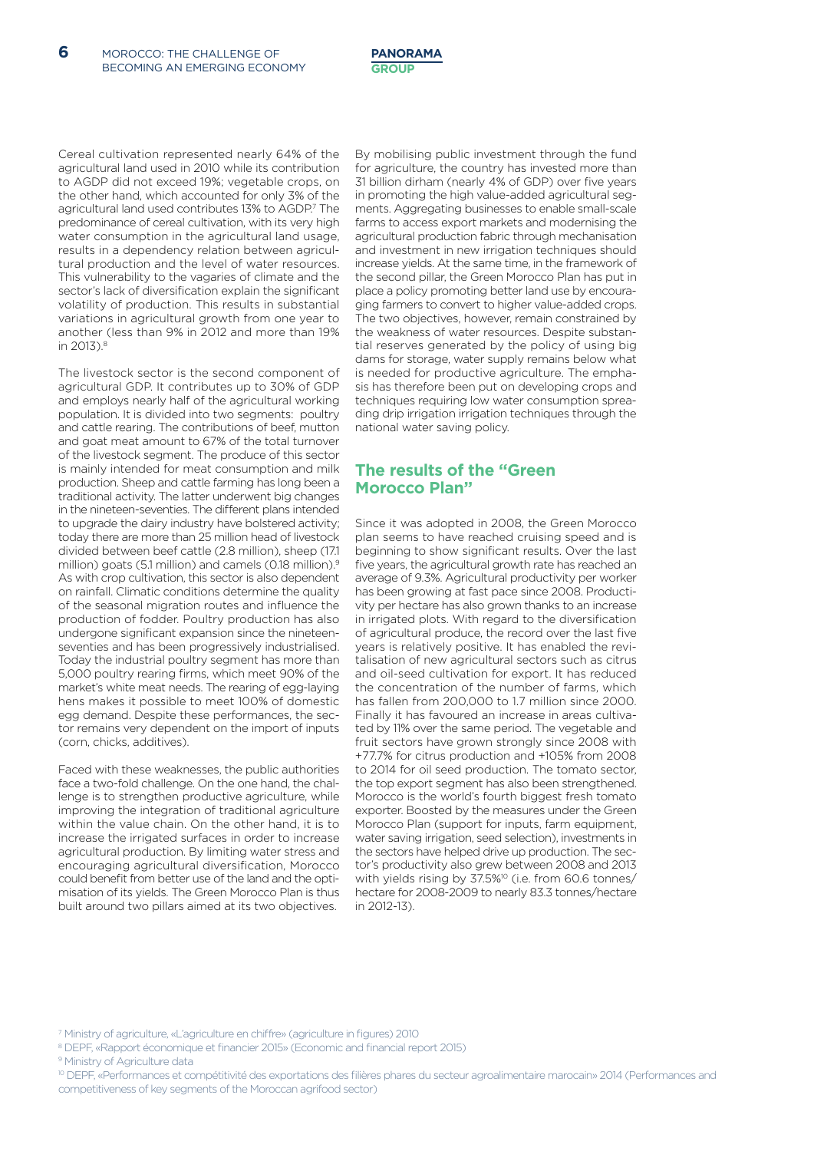Cereal cultivation represented nearly 64% of the agricultural land used in 2010 while its contribution to AGDP did not exceed 19%; vegetable crops, on the other hand, which accounted for only 3% of the agricultural land used contributes 13% to AGDP.7 The predominance of cereal cultivation, with its very high water consumption in the agricultural land usage, results in a dependency relation between agricultural production and the level of water resources. This vulnerability to the vagaries of climate and the sector's lack of diversification explain the significant volatility of production. This results in substantial variations in agricultural growth from one year to another (less than 9% in 2012 and more than 19% in 2013).<sup>8</sup>

The livestock sector is the second component of agricultural GDP. It contributes up to 30% of GDP and employs nearly half of the agricultural working population. It is divided into two segments: poultry and cattle rearing. The contributions of beef, mutton and goat meat amount to 67% of the total turnover of the livestock segment. The produce of this sector is mainly intended for meat consumption and milk production. Sheep and cattle farming has long been a traditional activity. The latter underwent big changes in the nineteen-seventies. The different plans intended to upgrade the dairy industry have bolstered activity; today there are more than 25 million head of livestock divided between beef cattle (2.8 million), sheep (17.1 million) goats (5.1 million) and camels (0.18 million).<sup>9</sup> As with crop cultivation, this sector is also dependent on rainfall. Climatic conditions determine the quality of the seasonal migration routes and influence the production of fodder. Poultry production has also undergone significant expansion since the nineteenseventies and has been progressively industrialised. Today the industrial poultry segment has more than 5,000 poultry rearing firms, which meet 90% of the market's white meat needs. The rearing of egg-laying hens makes it possible to meet 100% of domestic egg demand. Despite these performances, the sector remains very dependent on the import of inputs (corn, chicks, additives).

Faced with these weaknesses, the public authorities face a two-fold challenge. On the one hand, the challenge is to strengthen productive agriculture, while improving the integration of traditional agriculture within the value chain. On the other hand, it is to increase the irrigated surfaces in order to increase agricultural production. By limiting water stress and encouraging agricultural diversification, Morocco could benefit from better use of the land and the optimisation of its yields. The Green Morocco Plan is thus built around two pillars aimed at its two objectives.

By mobilising public investment through the fund for agriculture, the country has invested more than 31 billion dirham (nearly 4% of GDP) over five years in promoting the high value-added agricultural segments. Aggregating businesses to enable small-scale farms to access export markets and modernising the agricultural production fabric through mechanisation and investment in new irrigation techniques should increase yields. At the same time, in the framework of the second pillar, the Green Morocco Plan has put in place a policy promoting better land use by encouraging farmers to convert to higher value-added crops. The two objectives, however, remain constrained by the weakness of water resources. Despite substantial reserves generated by the policy of using big dams for storage, water supply remains below what is needed for productive agriculture. The emphasis has therefore been put on developing crops and techniques requiring low water consumption spreading drip irrigation irrigation techniques through the national water saving policy.

#### **The results of the "Green Morocco Plan"**

Since it was adopted in 2008, the Green Morocco plan seems to have reached cruising speed and is beginning to show significant results. Over the last five years, the agricultural growth rate has reached an average of 9.3%. Agricultural productivity per worker has been growing at fast pace since 2008. Productivity per hectare has also grown thanks to an increase in irrigated plots. With regard to the diversification of agricultural produce, the record over the last five years is relatively positive. It has enabled the revitalisation of new agricultural sectors such as citrus and oil-seed cultivation for export. It has reduced the concentration of the number of farms, which has fallen from 200,000 to 1.7 million since 2000. Finally it has favoured an increase in areas cultivated by 11% over the same period. The vegetable and fruit sectors have grown strongly since 2008 with +77.7% for citrus production and +105% from 2008 to 2014 for oil seed production. The tomato sector, the top export segment has also been strengthened. Morocco is the world's fourth biggest fresh tomato exporter. Boosted by the measures under the Green Morocco Plan (support for inputs, farm equipment, water saving irrigation, seed selection), investments in the sectors have helped drive up production. The sector's productivity also grew between 2008 and 2013 with yields rising by 37.5%<sup>10</sup> (i.e. from 60.6 tonnes/ hectare for 2008-2009 to nearly 83.3 tonnes/hectare in 2012-13).

- 8 DEPF, «Rapport économique et financier 2015» (Economic and financial report 2015)
- <sup>9</sup> Ministry of Agriculture data

<sup>7</sup> Ministry of agriculture, «L'agriculture en chiffre» (agriculture in figures) 2010

<sup>&</sup>lt;sup>10</sup> DEPF. «Performances et compétitivité des exportations des filières phares du secteur agroalimentaire marocain» 2014 (Performances and competitiveness of key segments of the Moroccan agrifood sector)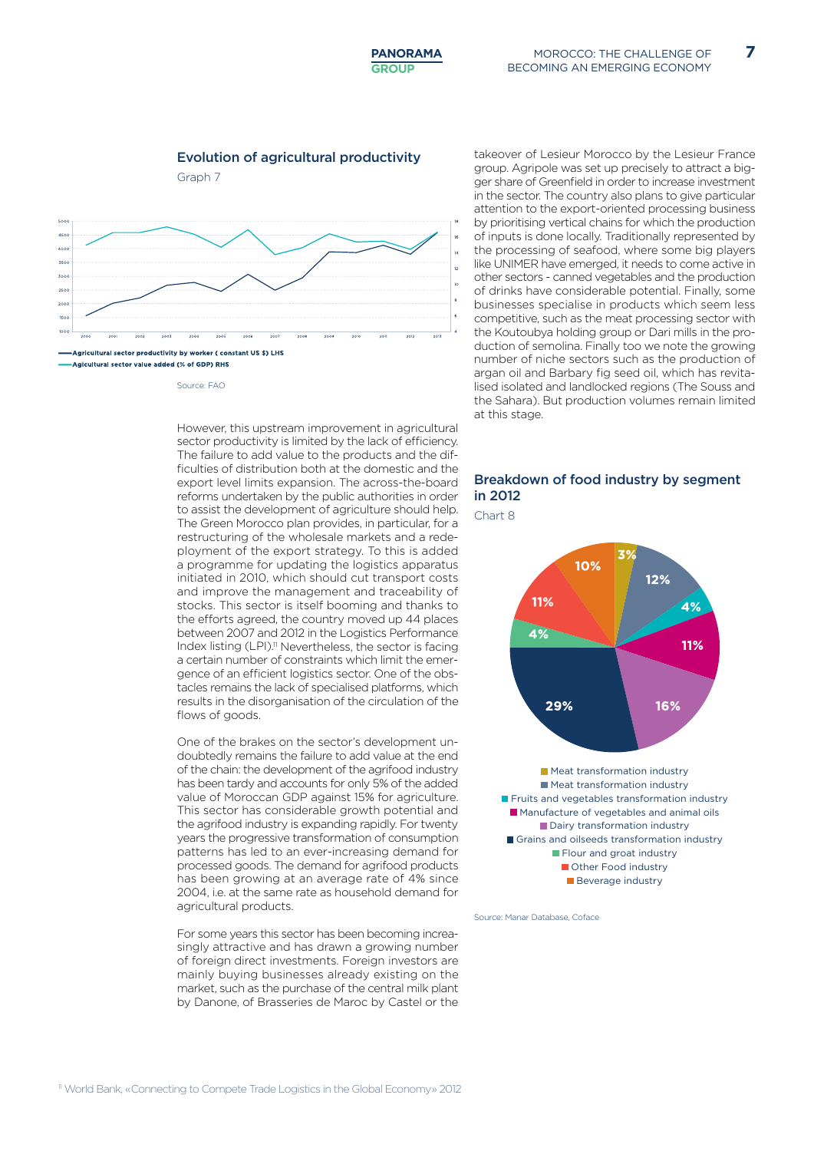#### Evolution of agricultural productivity

Graph 7



Source: FAO

However, this upstream improvement in agricultural sector productivity is limited by the lack of efficiency. The failure to add value to the products and the difficulties of distribution both at the domestic and the export level limits expansion. The across-the-board reforms undertaken by the public authorities in order to assist the development of agriculture should help. The Green Morocco plan provides, in particular, for a restructuring of the wholesale markets and a redeployment of the export strategy. To this is added a programme for updating the logistics apparatus initiated in 2010, which should cut transport costs and improve the management and traceability of stocks. This sector is itself booming and thanks to the efforts agreed, the country moved up 44 places between 2007 and 2012 in the Logistics Performance Index listing (LPI).<sup>11</sup> Nevertheless, the sector is facing a certain number of constraints which limit the emergence of an efficient logistics sector. One of the obstacles remains the lack of specialised platforms, which results in the disorganisation of the circulation of the flows of goods.

One of the brakes on the sector's development undoubtedly remains the failure to add value at the end of the chain: the development of the agrifood industry has been tardy and accounts for only 5% of the added value of Moroccan GDP against 15% for agriculture. This sector has considerable growth potential and the agrifood industry is expanding rapidly. For twenty years the progressive transformation of consumption patterns has led to an ever-increasing demand for processed goods. The demand for agrifood products has been growing at an average rate of 4% since 2004, i.e. at the same rate as household demand for agricultural products.

For some years this sector has been becoming increasingly attractive and has drawn a growing number of foreign direct investments. Foreign investors are mainly buying businesses already existing on the market, such as the purchase of the central milk plant by Danone, of Brasseries de Maroc by Castel or the takeover of Lesieur Morocco by the Lesieur France group. Agripole was set up precisely to attract a bigger share of Greenfield in order to increase investment in the sector. The country also plans to give particular attention to the export-oriented processing business by prioritising vertical chains for which the production of inputs is done locally. Traditionally represented by the processing of seafood, where some big players like UNIMER have emerged, it needs to come active in other sectors - canned vegetables and the production of drinks have considerable potential. Finally, some businesses specialise in products which seem less competitive, such as the meat processing sector with the Koutoubya holding group or Dari mills in the production of semolina. Finally too we note the growing number of niche sectors such as the production of argan oil and Barbary fig seed oil, which has revitalised isolated and landlocked regions (The Souss and the Sahara). But production volumes remain limited at this stage.

#### Breakdown of food industry by segment in 2012

Chart 8



**Beverage industry** 

Source: Manar Database, Coface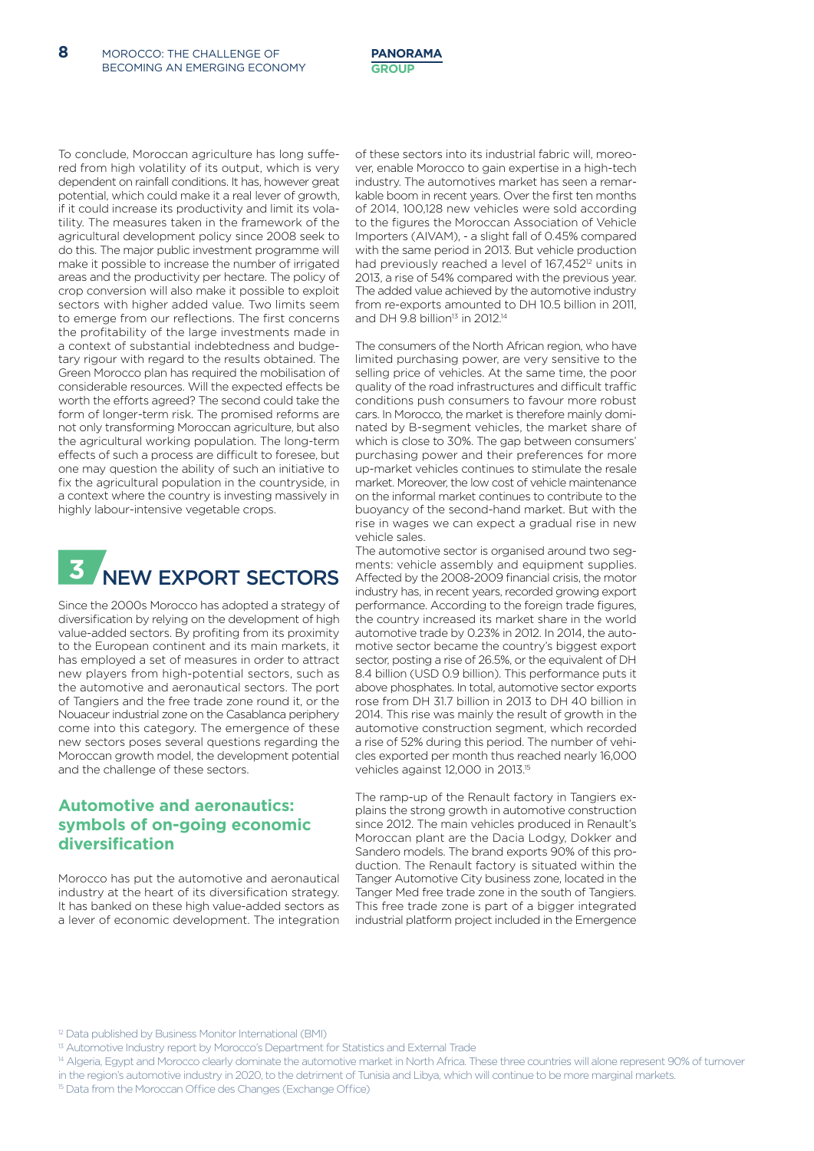To conclude, Moroccan agriculture has long suffered from high volatility of its output, which is very dependent on rainfall conditions. It has, however great potential, which could make it a real lever of growth, if it could increase its productivity and limit its volatility. The measures taken in the framework of the agricultural development policy since 2008 seek to do this. The major public investment programme will make it possible to increase the number of irrigated areas and the productivity per hectare. The policy of crop conversion will also make it possible to exploit sectors with higher added value. Two limits seem to emerge from our reflections. The first concerns the profitability of the large investments made in a context of substantial indebtedness and budgetary rigour with regard to the results obtained. The Green Morocco plan has required the mobilisation of considerable resources. Will the expected effects be worth the efforts agreed? The second could take the form of longer-term risk. The promised reforms are not only transforming Moroccan agriculture, but also the agricultural working population. The long-term effects of such a process are difficult to foresee, but one may question the ability of such an initiative to fix the agricultural population in the countryside, in a context where the country is investing massively in highly labour-intensive vegetable crops.



Since the 2000s Morocco has adopted a strategy of diversification by relying on the development of high value-added sectors. By profiting from its proximity to the European continent and its main markets, it has employed a set of measures in order to attract new players from high-potential sectors, such as the automotive and aeronautical sectors. The port of Tangiers and the free trade zone round it, or the Nouaceur industrial zone on the Casablanca periphery come into this category. The emergence of these new sectors poses several questions regarding the Moroccan growth model, the development potential and the challenge of these sectors.

#### **Automotive and aeronautics: symbols of on-going economic diversification**

Morocco has put the automotive and aeronautical industry at the heart of its diversification strategy. It has banked on these high value-added sectors as a lever of economic development. The integration of these sectors into its industrial fabric will, moreover, enable Morocco to gain expertise in a high-tech industry. The automotives market has seen a remarkable boom in recent years. Over the first ten months of 2014, 100,128 new vehicles were sold according to the figures the Moroccan Association of Vehicle Importers (AIVAM), - a slight fall of 0.45% compared with the same period in 2013. But vehicle production had previously reached a level of 167,452<sup>12</sup> units in 2013, a rise of 54% compared with the previous year. The added value achieved by the automotive industry from re-exports amounted to DH 10.5 billion in 2011 and DH 9.8 billion $13$  in 2012.<sup>14</sup>

The consumers of the North African region, who have limited purchasing power, are very sensitive to the selling price of vehicles. At the same time, the poor quality of the road infrastructures and difficult traffic conditions push consumers to favour more robust cars. In Morocco, the market is therefore mainly dominated by B-segment vehicles, the market share of which is close to 30%. The gap between consumers' purchasing power and their preferences for more up-market vehicles continues to stimulate the resale market. Moreover, the low cost of vehicle maintenance on the informal market continues to contribute to the buoyancy of the second-hand market. But with the rise in wages we can expect a gradual rise in new vehicle sales.

The automotive sector is organised around two segments: vehicle assembly and equipment supplies. Affected by the 2008-2009 financial crisis, the motor industry has, in recent years, recorded growing export performance. According to the foreign trade figures, the country increased its market share in the world automotive trade by 0.23% in 2012. In 2014, the automotive sector became the country's biggest export sector, posting a rise of 26.5%, or the equivalent of DH 8.4 billion (USD 0.9 billion). This performance puts it above phosphates. In total, automotive sector exports rose from DH 31.7 billion in 2013 to DH 40 billion in 2014. This rise was mainly the result of growth in the automotive construction segment, which recorded a rise of 52% during this period. The number of vehicles exported per month thus reached nearly 16,000 vehicles against 12,000 in 2013.<sup>15</sup>

The ramp-up of the Renault factory in Tangiers explains the strong growth in automotive construction since 2012. The main vehicles produced in Renault's Moroccan plant are the Dacia Lodgy, Dokker and Sandero models. The brand exports 90% of this production. The Renault factory is situated within the Tanger Automotive City business zone, located in the Tanger Med free trade zone in the south of Tangiers. This free trade zone is part of a bigger integrated industrial platform project included in the Emergence

<sup>12</sup> Data published by Business Monitor International (BMI)

- <sup>14</sup> Algeria, Egypt and Morocco clearly dominate the automotive market in North Africa. These three countries will alone represent 90% of turnover in the region's automotive industry in 2020, to the detriment of Tunisia and Libya, which will continue to be more marginal markets.
- 15 Data from the Moroccan Office des Changes (Exchange Office)

<sup>&</sup>lt;sup>13</sup> Automotive Industry report by Morocco's Department for Statistics and External Trade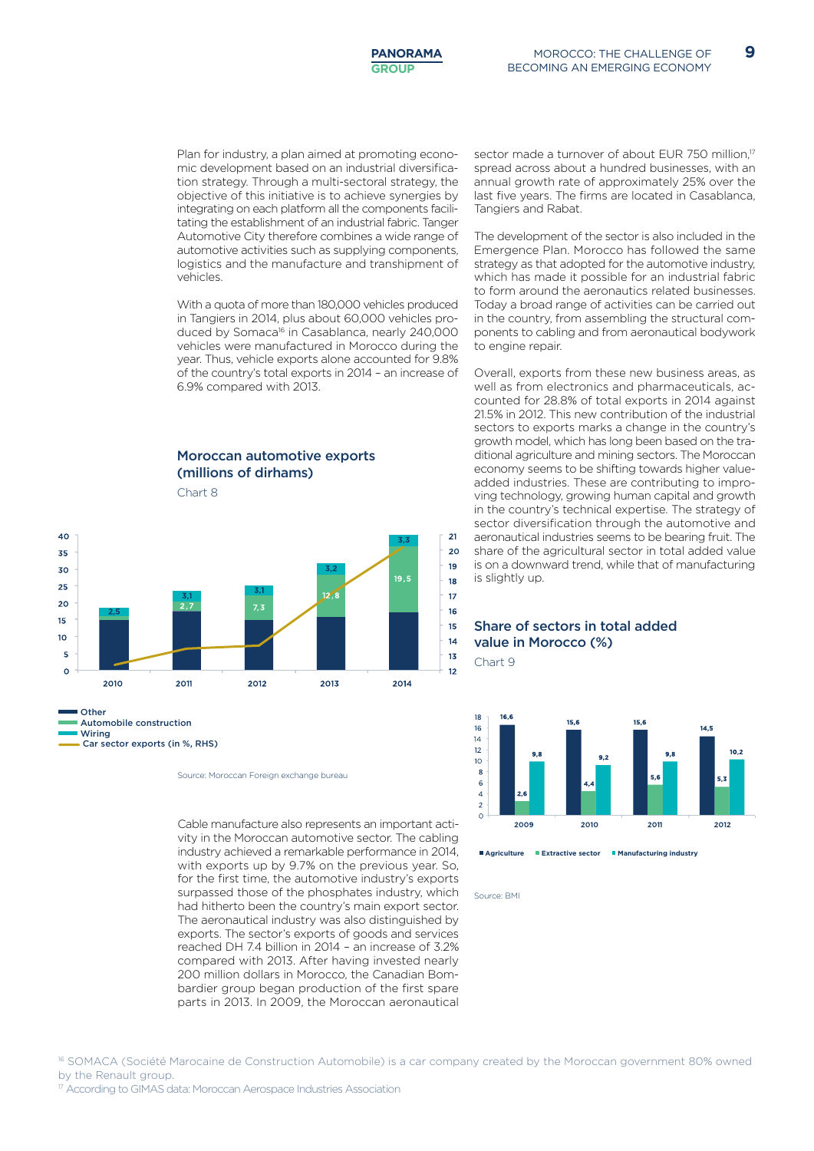Plan for industry, a plan aimed at promoting economic development based on an industrial diversification strategy. Through a multi-sectoral strategy, the objective of this initiative is to achieve synergies by integrating on each platform all the components facilitating the establishment of an industrial fabric. Tanger Automotive City therefore combines a wide range of automotive activities such as supplying components, logistics and the manufacture and transhipment of vehicles.

With a quota of more than 180,000 vehicles produced in Tangiers in 2014, plus about 60,000 vehicles produced by Somaca<sup>16</sup> in Casablanca, nearly 240,000 vehicles were manufactured in Morocco during the year. Thus, vehicle exports alone accounted for 9.8% of the country's total exports in 2014 – an increase of 6.9% compared with 2013.

#### Moroccan automotive exports (millions of dirhams)

Chart 8



Cable manufacture also represents an important activity in the Moroccan automotive sector. The cabling industry achieved a remarkable performance in 2014, with exports up by 9.7% on the previous year. So, for the first time, the automotive industry's exports surpassed those of the phosphates industry, which had hitherto been the country's main export sector. The aeronautical industry was also distinguished by exports. The sector's exports of goods and services reached DH 7.4 billion in 2014 – an increase of 3.2% compared with 2013. After having invested nearly 200 million dollars in Morocco, the Canadian Bombardier group began production of the first spare parts in 2013. In 2009, the Moroccan aeronautical

sector made a turnover of about EUR 750 million,<sup>17</sup> spread across about a hundred businesses, with an annual growth rate of approximately 25% over the last five years. The firms are located in Casablanca, Tangiers and Rabat.

The development of the sector is also included in the Emergence Plan. Morocco has followed the same strategy as that adopted for the automotive industry, which has made it possible for an industrial fabric to form around the aeronautics related businesses. Today a broad range of activities can be carried out in the country, from assembling the structural components to cabling and from aeronautical bodywork to engine repair.

Overall, exports from these new business areas, as well as from electronics and pharmaceuticals, accounted for 28.8% of total exports in 2014 against 21.5% in 2012. This new contribution of the industrial sectors to exports marks a change in the country's growth model, which has long been based on the traditional agriculture and mining sectors. The Moroccan economy seems to be shifting towards higher valueadded industries. These are contributing to improving technology, growing human capital and growth in the country's technical expertise. The strategy of sector diversification through the automotive and aeronautical industries seems to be bearing fruit. The share of the agricultural sector in total added value is on a downward trend, while that of manufacturing is slightly up.

#### Share of sectors in total added value in Morocco (%) Chart 9



**Agriculture Extractive sector Manufacturing industry**

Source: BMI

16 SOMACA (Société Marocaine de Construction Automobile) is a car company created by the Moroccan government 80% owned by the Renault group.

Source: Moroccan Foreign exchange bureau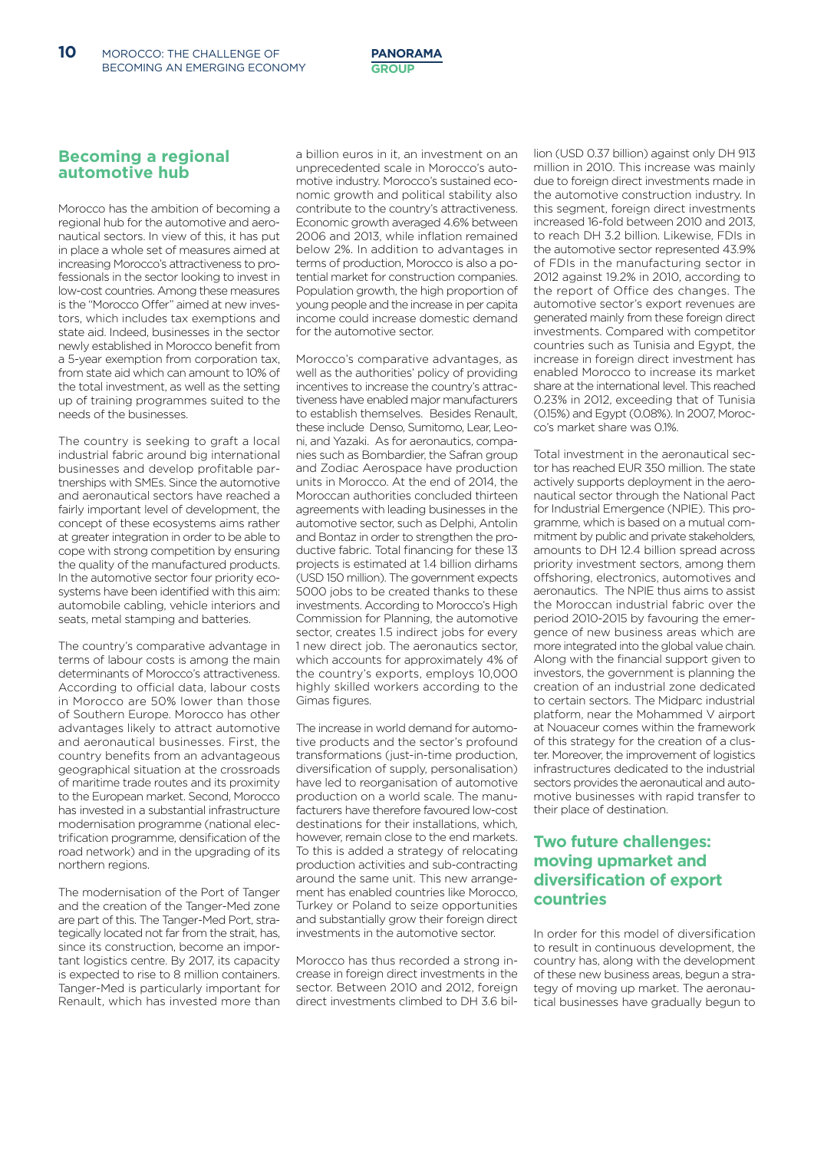#### **Becoming a regional automotive hub**

Morocco has the ambition of becoming a regional hub for the automotive and aeronautical sectors. In view of this, it has put in place a whole set of measures aimed at increasing Morocco's attractiveness to professionals in the sector looking to invest in low-cost countries. Among these measures is the "Morocco Offer" aimed at new investors, which includes tax exemptions and state aid. Indeed, businesses in the sector newly established in Morocco benefit from a 5-year exemption from corporation tax, from state aid which can amount to 10% of the total investment, as well as the setting up of training programmes suited to the needs of the businesses.

The country is seeking to graft a local industrial fabric around big international businesses and develop profitable partnerships with SMEs. Since the automotive and aeronautical sectors have reached a fairly important level of development, the concept of these ecosystems aims rather at greater integration in order to be able to cope with strong competition by ensuring the quality of the manufactured products. In the automotive sector four priority ecosystems have been identified with this aim: automobile cabling, vehicle interiors and seats, metal stamping and batteries.

The country's comparative advantage in terms of labour costs is among the main determinants of Morocco's attractiveness. According to official data, labour costs in Morocco are 50% lower than those of Southern Europe. Morocco has other advantages likely to attract automotive and aeronautical businesses. First, the country benefits from an advantageous geographical situation at the crossroads of maritime trade routes and its proximity to the European market. Second, Morocco has invested in a substantial infrastructure modernisation programme (national electrification programme, densification of the road network) and in the upgrading of its northern regions.

The modernisation of the Port of Tanger and the creation of the Tanger-Med zone are part of this. The Tanger-Med Port, strategically located not far from the strait, has, since its construction, become an important logistics centre. By 2017, its capacity is expected to rise to 8 million containers. Tanger-Med is particularly important for Renault, which has invested more than a billion euros in it, an investment on an unprecedented scale in Morocco's automotive industry. Morocco's sustained economic growth and political stability also contribute to the country's attractiveness. Economic growth averaged 4.6% between 2006 and 2013, while inflation remained below 2%. In addition to advantages in terms of production, Morocco is also a potential market for construction companies. Population growth, the high proportion of young people and the increase in per capita income could increase domestic demand for the automotive sector.

Morocco's comparative advantages, as well as the authorities' policy of providing incentives to increase the country's attractiveness have enabled major manufacturers to establish themselves. Besides Renault, these include Denso, Sumitomo, Lear, Leoni, and Yazaki. As for aeronautics, companies such as Bombardier, the Safran group and Zodiac Aerospace have production units in Morocco. At the end of 2014, the Moroccan authorities concluded thirteen agreements with leading businesses in the automotive sector, such as Delphi, Antolin and Bontaz in order to strengthen the productive fabric. Total financing for these 13 projects is estimated at 1.4 billion dirhams (USD 150 million). The government expects 5000 jobs to be created thanks to these investments. According to Morocco's High Commission for Planning, the automotive sector, creates 1.5 indirect jobs for every 1 new direct job. The aeronautics sector, which accounts for approximately 4% of the country's exports, employs 10,000 highly skilled workers according to the Gimas figures.

The increase in world demand for automotive products and the sector's profound transformations (just-in-time production, diversification of supply, personalisation) have led to reorganisation of automotive production on a world scale. The manufacturers have therefore favoured low-cost destinations for their installations, which, however, remain close to the end markets. To this is added a strategy of relocating production activities and sub-contracting around the same unit. This new arrangement has enabled countries like Morocco, Turkey or Poland to seize opportunities and substantially grow their foreign direct investments in the automotive sector.

Morocco has thus recorded a strong increase in foreign direct investments in the sector. Between 2010 and 2012, foreign direct investments climbed to DH 3.6 billion (USD 0.37 billion) against only DH 913 million in 2010. This increase was mainly due to foreign direct investments made in the automotive construction industry. In this segment, foreign direct investments increased 16-fold between 2010 and 2013, to reach DH 3.2 billion. Likewise, FDIs in the automotive sector represented 43.9% of FDIs in the manufacturing sector in 2012 against 19.2% in 2010, according to the report of Office des changes. The automotive sector's export revenues are generated mainly from these foreign direct investments. Compared with competitor countries such as Tunisia and Egypt, the increase in foreign direct investment has enabled Morocco to increase its market share at the international level. This reached 0.23% in 2012, exceeding that of Tunisia (0.15%) and Egypt (0.08%). In 2007, Morocco's market share was 0.1%.

Total investment in the aeronautical sector has reached EUR 350 million. The state actively supports deployment in the aeronautical sector through the National Pact for Industrial Emergence (NPIE). This programme, which is based on a mutual commitment by public and private stakeholders, amounts to DH 12.4 billion spread across priority investment sectors, among them offshoring, electronics, automotives and aeronautics. The NPIE thus aims to assist the Moroccan industrial fabric over the period 2010-2015 by favouring the emergence of new business areas which are more integrated into the global value chain. Along with the financial support given to investors, the government is planning the creation of an industrial zone dedicated to certain sectors. The Midparc industrial platform, near the Mohammed V airport at Nouaceur comes within the framework of this strategy for the creation of a cluster. Moreover, the improvement of logistics infrastructures dedicated to the industrial sectors provides the aeronautical and automotive businesses with rapid transfer to their place of destination.

#### **Two future challenges: moving upmarket and diversification of export countries**

In order for this model of diversification to result in continuous development, the country has, along with the development of these new business areas, begun a strategy of moving up market. The aeronautical businesses have gradually begun to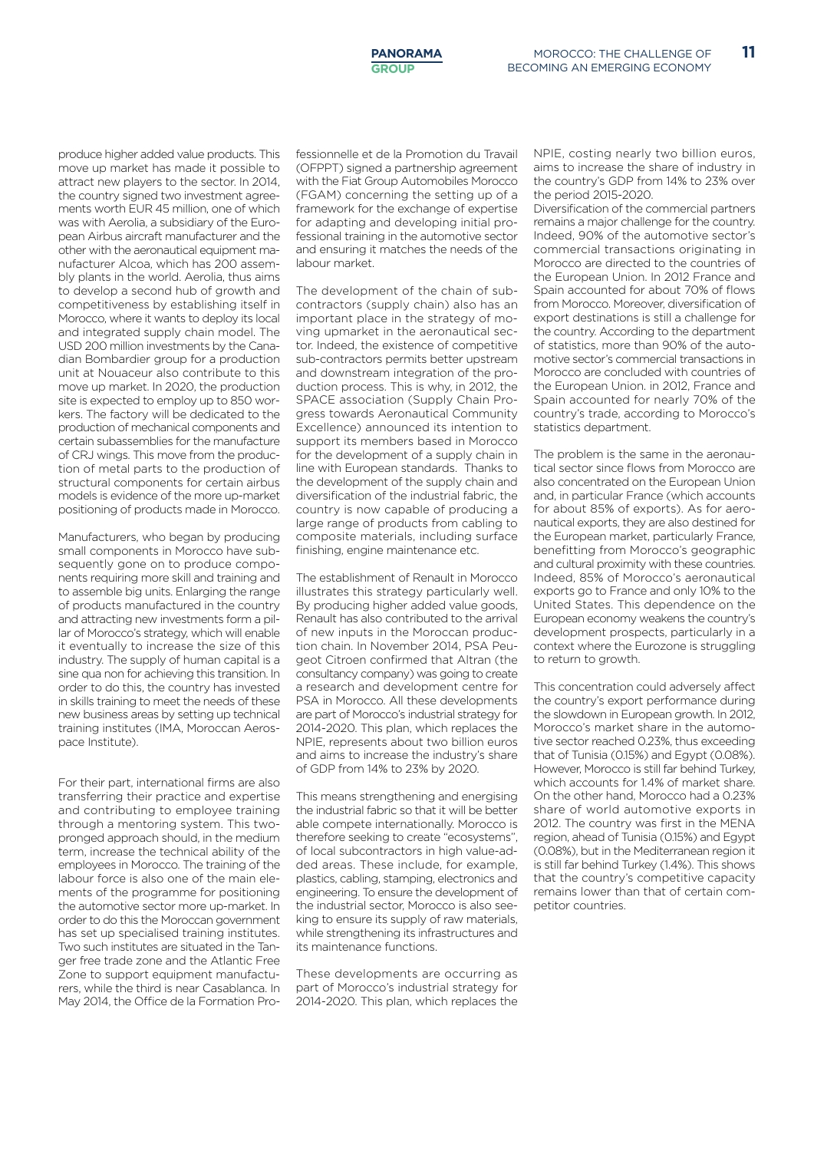produce higher added value products. This move up market has made it possible to attract new players to the sector. In 2014, the country signed two investment agreements worth EUR 45 million, one of which was with Aerolia, a subsidiary of the European Airbus aircraft manufacturer and the other with the aeronautical equipment manufacturer Alcoa, which has 200 assembly plants in the world. Aerolia, thus aims to develop a second hub of growth and competitiveness by establishing itself in Morocco, where it wants to deploy its local and integrated supply chain model. The USD 200 million investments by the Canadian Bombardier group for a production unit at Nouaceur also contribute to this move up market. In 2020, the production site is expected to employ up to 850 workers. The factory will be dedicated to the production of mechanical components and certain subassemblies for the manufacture of CRJ wings. This move from the production of metal parts to the production of structural components for certain airbus models is evidence of the more up-market positioning of products made in Morocco.

Manufacturers, who began by producing small components in Morocco have subsequently gone on to produce components requiring more skill and training and to assemble big units. Enlarging the range of products manufactured in the country and attracting new investments form a pillar of Morocco's strategy, which will enable it eventually to increase the size of this industry. The supply of human capital is a sine qua non for achieving this transition. In order to do this, the country has invested in skills training to meet the needs of these new business areas by setting up technical training institutes (IMA, Moroccan Aerospace Institute).

For their part, international firms are also transferring their practice and expertise and contributing to employee training through a mentoring system. This twopronged approach should, in the medium term, increase the technical ability of the employees in Morocco. The training of the labour force is also one of the main elements of the programme for positioning the automotive sector more up-market. In order to do this the Moroccan government has set up specialised training institutes. Two such institutes are situated in the Tanger free trade zone and the Atlantic Free Zone to support equipment manufacturers, while the third is near Casablanca. In May 2014, the Office de la Formation Professionnelle et de la Promotion du Travail (OFPPT) signed a partnership agreement with the Fiat Group Automobiles Morocco (FGAM) concerning the setting up of a framework for the exchange of expertise for adapting and developing initial professional training in the automotive sector and ensuring it matches the needs of the labour market.

The development of the chain of subcontractors (supply chain) also has an important place in the strategy of moving upmarket in the aeronautical sector. Indeed, the existence of competitive sub-contractors permits better upstream and downstream integration of the production process. This is why, in 2012, the SPACE association (Supply Chain Progress towards Aeronautical Community Excellence) announced its intention to support its members based in Morocco for the development of a supply chain in line with European standards. Thanks to the development of the supply chain and diversification of the industrial fabric, the country is now capable of producing a large range of products from cabling to composite materials, including surface finishing, engine maintenance etc.

The establishment of Renault in Morocco illustrates this strategy particularly well. By producing higher added value goods, Renault has also contributed to the arrival of new inputs in the Moroccan production chain. In November 2014, PSA Peugeot Citroen confirmed that Altran (the consultancy company) was going to create a research and development centre for PSA in Morocco. All these developments are part of Morocco's industrial strategy for 2014-2020. This plan, which replaces the NPIE, represents about two billion euros and aims to increase the industry's share of GDP from 14% to 23% by 2020.

This means strengthening and energising the industrial fabric so that it will be better able compete internationally. Morocco is therefore seeking to create "ecosystems", of local subcontractors in high value-added areas. These include, for example, plastics, cabling, stamping, electronics and engineering. To ensure the development of the industrial sector, Morocco is also seeking to ensure its supply of raw materials, while strengthening its infrastructures and its maintenance functions.

These developments are occurring as part of Morocco's industrial strategy for 2014-2020. This plan, which replaces the

NPIE, costing nearly two billion euros, aims to increase the share of industry in the country's GDP from 14% to 23% over the period 2015-2020.

Diversification of the commercial partners remains a major challenge for the country. Indeed, 90% of the automotive sector's commercial transactions originating in Morocco are directed to the countries of the European Union. In 2012 France and Spain accounted for about 70% of flows from Morocco. Moreover, diversification of export destinations is still a challenge for the country. According to the department of statistics, more than 90% of the automotive sector's commercial transactions in Morocco are concluded with countries of the European Union. in 2012, France and Spain accounted for nearly 70% of the country's trade, according to Morocco's statistics department.

The problem is the same in the aeronautical sector since flows from Morocco are also concentrated on the European Union and, in particular France (which accounts for about 85% of exports). As for aeronautical exports, they are also destined for the European market, particularly France, benefitting from Morocco's geographic and cultural proximity with these countries. Indeed, 85% of Morocco's aeronautical exports go to France and only 10% to the United States. This dependence on the European economy weakens the country's development prospects, particularly in a context where the Eurozone is struggling to return to growth.

This concentration could adversely affect the country's export performance during the slowdown in European growth. In 2012, Morocco's market share in the automotive sector reached 0.23%, thus exceeding that of Tunisia (0.15%) and Egypt (0.08%). However, Morocco is still far behind Turkey, which accounts for 1.4% of market share. On the other hand, Morocco had a 0.23% share of world automotive exports in 2012. The country was first in the MENA region, ahead of Tunisia (0.15%) and Egypt (0.08%), but in the Mediterranean region it is still far behind Turkey (1.4%). This shows that the country's competitive capacity remains lower than that of certain competitor countries.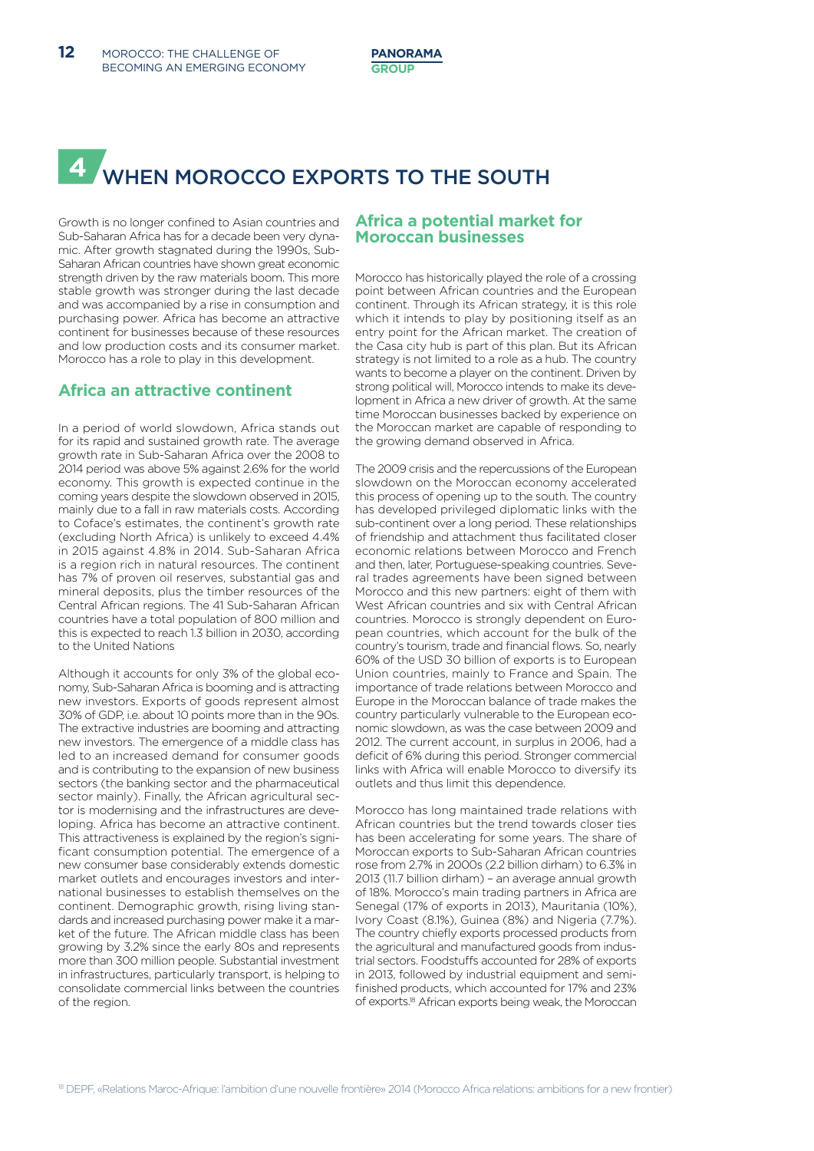# **4** WHEN MOROCCO EXPORTS TO THE SOUTH

Growth is no longer confined to Asian countries and Sub-Saharan Africa has for a decade been very dynamic. After growth stagnated during the 1990s, Sub-Saharan African countries have shown great economic strength driven by the raw materials boom. This more stable growth was stronger during the last decade and was accompanied by a rise in consumption and purchasing power. Africa has become an attractive continent for businesses because of these resources and low production costs and its consumer market. Morocco has a role to play in this development.

#### **Africa an attractive continent**

In a period of world slowdown, Africa stands out for its rapid and sustained growth rate. The average growth rate in Sub-Saharan Africa over the 2008 to 2014 period was above 5% against 2.6% for the world economy. This growth is expected continue in the coming years despite the slowdown observed in 2015, mainly due to a fall in raw materials costs. According to Coface's estimates, the continent's growth rate (excluding North Africa) is unlikely to exceed 4.4% in 2015 against 4.8% in 2014. Sub-Saharan Africa is a region rich in natural resources. The continent has 7% of proven oil reserves, substantial gas and mineral deposits, plus the timber resources of the Central African regions. The 41 Sub-Saharan African countries have a total population of 800 million and this is expected to reach 1.3 billion in 2030, according to the United Nations

Although it accounts for only 3% of the global economy, Sub-Saharan Africa is booming and is attracting new investors. Exports of goods represent almost 30% of GDP, i.e. about 10 points more than in the 90s. The extractive industries are booming and attracting new investors. The emergence of a middle class has led to an increased demand for consumer goods and is contributing to the expansion of new business sectors (the banking sector and the pharmaceutical sector mainly). Finally, the African agricultural sector is modernising and the infrastructures are developing. Africa has become an attractive continent. This attractiveness is explained by the region's significant consumption potential. The emergence of a new consumer base considerably extends domestic market outlets and encourages investors and international businesses to establish themselves on the continent. Demographic growth, rising living standards and increased purchasing power make it a market of the future. The African middle class has been growing by 3.2% since the early 80s and represents more than 300 million people. Substantial investment in infrastructures, particularly transport, is helping to consolidate commercial links between the countries of the region.

#### **Africa a potential market for Moroccan businesses**

Morocco has historically played the role of a crossing point between African countries and the European continent. Through its African strategy, it is this role which it intends to play by positioning itself as an entry point for the African market. The creation of the Casa city hub is part of this plan. But its African strategy is not limited to a role as a hub. The country wants to become a player on the continent. Driven by strong political will, Morocco intends to make its development in Africa a new driver of growth. At the same time Moroccan businesses backed by experience on the Moroccan market are capable of responding to the growing demand observed in Africa.

The 2009 crisis and the repercussions of the European slowdown on the Moroccan economy accelerated this process of opening up to the south. The country has developed privileged diplomatic links with the sub-continent over a long period. These relationships of friendship and attachment thus facilitated closer economic relations between Morocco and French and then, later, Portuguese-speaking countries. Several trades agreements have been signed between Morocco and this new partners: eight of them with West African countries and six with Central African countries. Morocco is strongly dependent on European countries, which account for the bulk of the country's tourism, trade and financial flows. So, nearly 60% of the USD 30 billion of exports is to European Union countries, mainly to France and Spain. The importance of trade relations between Morocco and Europe in the Moroccan balance of trade makes the country particularly vulnerable to the European economic slowdown, as was the case between 2009 and 2012. The current account, in surplus in 2006, had a deficit of 6% during this period. Stronger commercial links with Africa will enable Morocco to diversify its outlets and thus limit this dependence.

Morocco has long maintained trade relations with African countries but the trend towards closer ties has been accelerating for some years. The share of Moroccan exports to Sub-Saharan African countries rose from 2.7% in 2000s (2.2 billion dirham) to 6.3% in 2013 (11.7 billion dirham) – an average annual growth of 18%. Morocco's main trading partners in Africa are Senegal (17% of exports in 2013), Mauritania (10%), Ivory Coast (8.1%), Guinea (8%) and Nigeria (7.7%). The country chiefly exports processed products from the agricultural and manufactured goods from industrial sectors. Foodstuffs accounted for 28% of exports in 2013, followed by industrial equipment and semifinished products, which accounted for 17% and 23% of exports.<sup>18</sup> African exports being weak, the Moroccan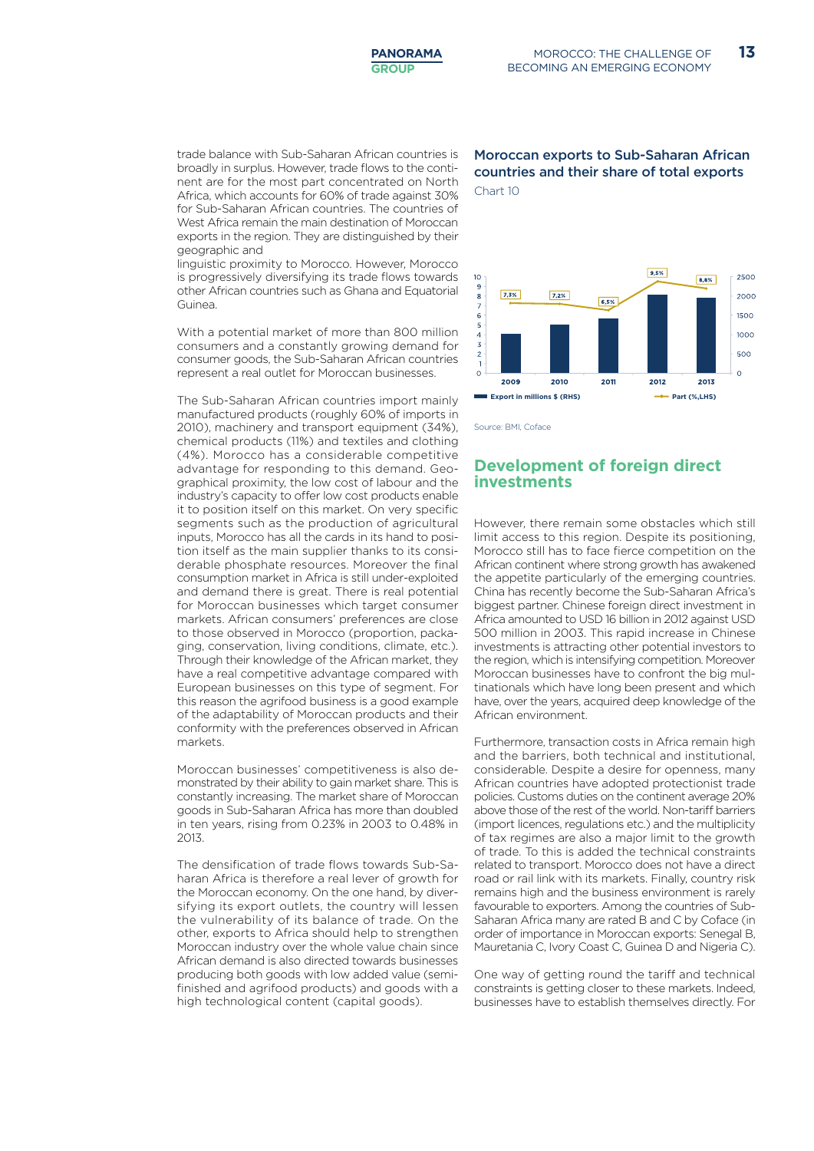trade balance with Sub-Saharan African countries is broadly in surplus. However, trade flows to the continent are for the most part concentrated on North Africa, which accounts for 60% of trade against 30% for Sub-Saharan African countries. The countries of West Africa remain the main destination of Moroccan exports in the region. They are distinguished by their geographic and

linguistic proximity to Morocco. However, Morocco is progressively diversifying its trade flows towards other African countries such as Ghana and Equatorial Guinea.

With a potential market of more than 800 million consumers and a constantly growing demand for consumer goods, the Sub-Saharan African countries represent a real outlet for Moroccan businesses.

The Sub-Saharan African countries import mainly manufactured products (roughly 60% of imports in 2010), machinery and transport equipment (34%), chemical products (11%) and textiles and clothing (4%). Morocco has a considerable competitive advantage for responding to this demand. Geographical proximity, the low cost of labour and the industry's capacity to offer low cost products enable it to position itself on this market. On very specific segments such as the production of agricultural inputs, Morocco has all the cards in its hand to position itself as the main supplier thanks to its considerable phosphate resources. Moreover the final consumption market in Africa is still under-exploited and demand there is great. There is real potential for Moroccan businesses which target consumer markets. African consumers' preferences are close to those observed in Morocco (proportion, packaging, conservation, living conditions, climate, etc.). Through their knowledge of the African market, they have a real competitive advantage compared with European businesses on this type of segment. For this reason the agrifood business is a good example of the adaptability of Moroccan products and their conformity with the preferences observed in African markets.

Moroccan businesses' competitiveness is also demonstrated by their ability to gain market share. This is constantly increasing. The market share of Moroccan goods in Sub-Saharan Africa has more than doubled in ten years, rising from 0.23% in 2003 to 0.48% in 2013.

The densification of trade flows towards Sub-Saharan Africa is therefore a real lever of growth for the Moroccan economy. On the one hand, by diversifying its export outlets, the country will lessen the vulnerability of its balance of trade. On the other, exports to Africa should help to strengthen Moroccan industry over the whole value chain since African demand is also directed towards businesses producing both goods with low added value (semifinished and agrifood products) and goods with a high technological content (capital goods).

#### Moroccan exports to Sub-Saharan African countries and their share of total exports Chart 10



Source: BMI, Coface

#### **Development of foreign direct investments**

However, there remain some obstacles which still limit access to this region. Despite its positioning, Morocco still has to face fierce competition on the African continent where strong growth has awakened the appetite particularly of the emerging countries. China has recently become the Sub-Saharan Africa's biggest partner. Chinese foreign direct investment in Africa amounted to USD 16 billion in 2012 against USD 500 million in 2003. This rapid increase in Chinese investments is attracting other potential investors to the region, which is intensifying competition. Moreover Moroccan businesses have to confront the big multinationals which have long been present and which have, over the years, acquired deep knowledge of the African environment.

Furthermore, transaction costs in Africa remain high and the barriers, both technical and institutional, considerable. Despite a desire for openness, many African countries have adopted protectionist trade policies. Customs duties on the continent average 20% above those of the rest of the world. Non-tariff barriers (import licences, regulations etc.) and the multiplicity of tax regimes are also a major limit to the growth of trade. To this is added the technical constraints related to transport. Morocco does not have a direct road or rail link with its markets. Finally, country risk remains high and the business environment is rarely favourable to exporters. Among the countries of Sub-Saharan Africa many are rated B and C by Coface (in order of importance in Moroccan exports: Senegal B, Mauretania C, Ivory Coast C, Guinea D and Nigeria C).

One way of getting round the tariff and technical constraints is getting closer to these markets. Indeed, businesses have to establish themselves directly. For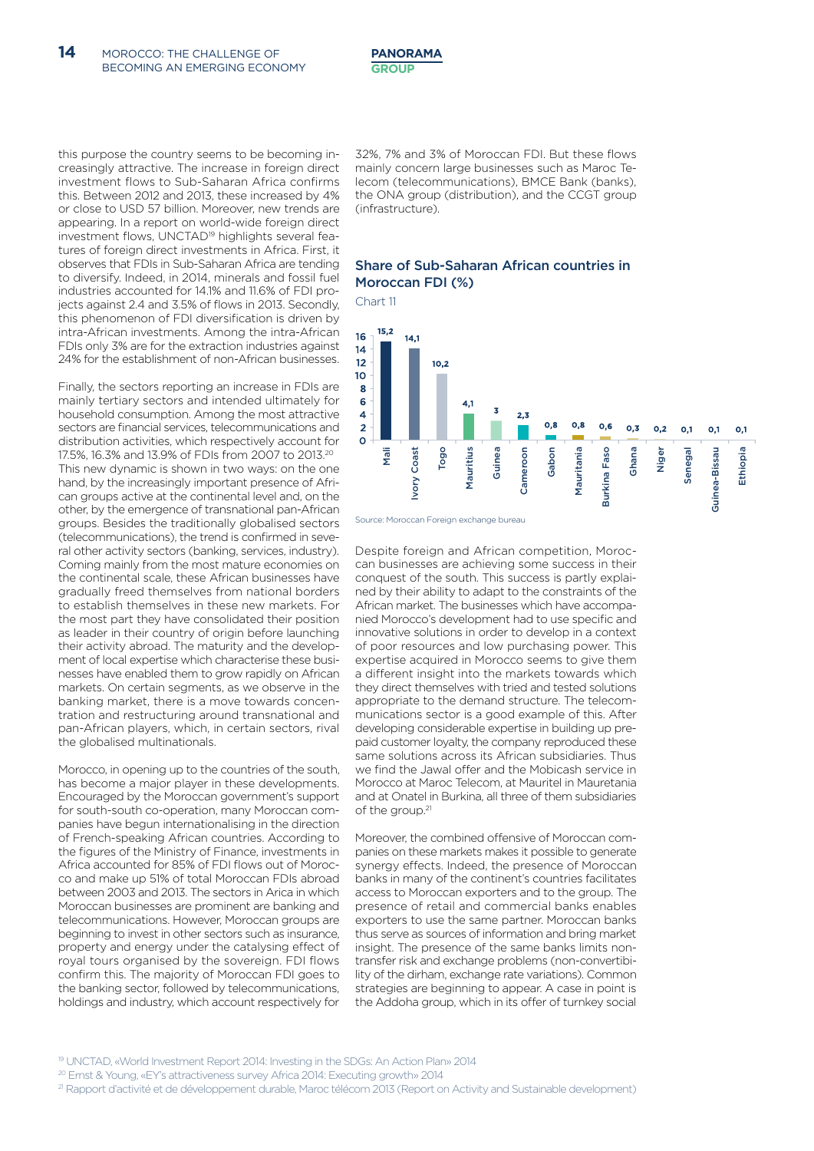this purpose the country seems to be becoming increasingly attractive. The increase in foreign direct investment flows to Sub-Saharan Africa confirms this. Between 2012 and 2013, these increased by 4% or close to USD 57 billion. Moreover, new trends are appearing. In a report on world-wide foreign direct investment flows, UNCTAD<sup>19</sup> highlights several features of foreign direct investments in Africa. First, it observes that FDIs in Sub-Saharan Africa are tending to diversify. Indeed, in 2014, minerals and fossil fuel industries accounted for 14.1% and 11.6% of FDI projects against 2.4 and 3.5% of flows in 2013. Secondly, this phenomenon of FDI diversification is driven by intra-African investments. Among the intra-African FDIs only 3% are for the extraction industries against 24% for the establishment of non-African businesses.

Finally, the sectors reporting an increase in FDIs are mainly tertiary sectors and intended ultimately for household consumption. Among the most attractive sectors are financial services, telecommunications and distribution activities, which respectively account for 17.5%, 16.3% and 13.9% of FDIs from 2007 to 2013.20 This new dynamic is shown in two ways: on the one hand, by the increasingly important presence of African groups active at the continental level and, on the other, by the emergence of transnational pan-African groups. Besides the traditionally globalised sectors (telecommunications), the trend is confirmed in several other activity sectors (banking, services, industry). Coming mainly from the most mature economies on the continental scale, these African businesses have gradually freed themselves from national borders to establish themselves in these new markets. For the most part they have consolidated their position as leader in their country of origin before launching their activity abroad. The maturity and the development of local expertise which characterise these businesses have enabled them to grow rapidly on African markets. On certain segments, as we observe in the banking market, there is a move towards concentration and restructuring around transnational and pan-African players, which, in certain sectors, rival the globalised multinationals.

Morocco, in opening up to the countries of the south, has become a major player in these developments. Encouraged by the Moroccan government's support for south-south co-operation, many Moroccan companies have begun internationalising in the direction of French-speaking African countries. According to the figures of the Ministry of Finance, investments in Africa accounted for 85% of FDI flows out of Morocco and make up 51% of total Moroccan FDIs abroad between 2003 and 2013. The sectors in Arica in which Moroccan businesses are prominent are banking and telecommunications. However, Moroccan groups are beginning to invest in other sectors such as insurance, property and energy under the catalysing effect of royal tours organised by the sovereign. FDI flows confirm this. The majority of Moroccan FDI goes to the banking sector, followed by telecommunications, holdings and industry, which account respectively for 32%, 7% and 3% of Moroccan FDI. But these flows mainly concern large businesses such as Maroc Telecom (telecommunications), BMCE Bank (banks), the ONA group (distribution), and the CCGT group (infrastructure).

#### Share of Sub-Saharan African countries in Moroccan FDI (%)

Chart 11



Despite foreign and African competition, Moroccan businesses are achieving some success in their conquest of the south. This success is partly explained by their ability to adapt to the constraints of the African market. The businesses which have accompanied Morocco's development had to use specific and innovative solutions in order to develop in a context of poor resources and low purchasing power. This expertise acquired in Morocco seems to give them a different insight into the markets towards which they direct themselves with tried and tested solutions appropriate to the demand structure. The telecommunications sector is a good example of this. After developing considerable expertise in building up prepaid customer loyalty, the company reproduced these same solutions across its African subsidiaries. Thus we find the Jawal offer and the Mobicash service in Morocco at Maroc Telecom, at Mauritel in Mauretania and at Onatel in Burkina, all three of them subsidiaries of the group.<sup>21</sup>

Moreover, the combined offensive of Moroccan companies on these markets makes it possible to generate synergy effects. Indeed, the presence of Moroccan banks in many of the continent's countries facilitates access to Moroccan exporters and to the group. The presence of retail and commercial banks enables exporters to use the same partner. Moroccan banks thus serve as sources of information and bring market insight. The presence of the same banks limits nontransfer risk and exchange problems (non-convertibility of the dirham, exchange rate variations). Common strategies are beginning to appear. A case in point is the Addoha group, which in its offer of turnkey social

- 20 Ernst & Young, «EY's attractiveness survey Africa 2014: Executing growth» 2014
- <sup>21</sup> Rapport d'activité et de développement durable. Maroc télécom 2013 (Report on Activity and Sustainable development)

<sup>19</sup> UNCTAD, «World Investment Report 2014: Investing in the SDGs: An Action Plan» 2014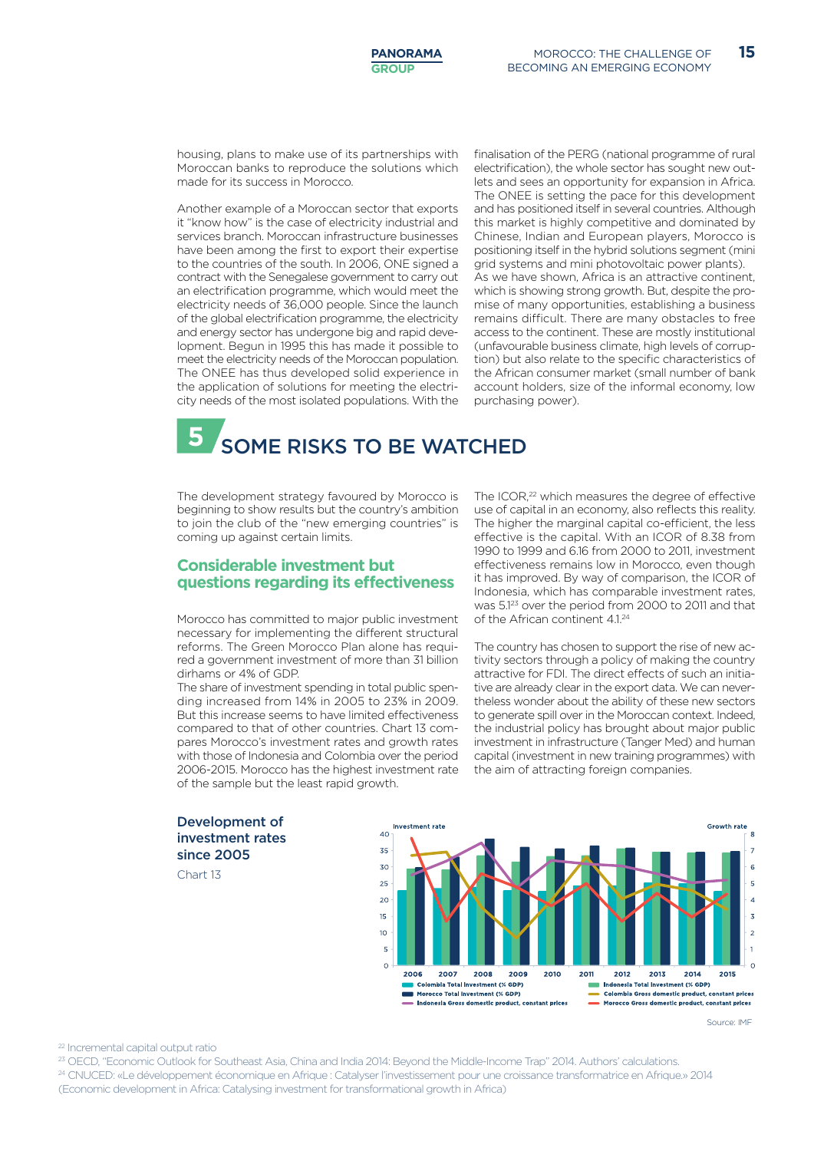housing, plans to make use of its partnerships with Moroccan banks to reproduce the solutions which made for its success in Morocco.

Another example of a Moroccan sector that exports it "know how" is the case of electricity industrial and services branch. Moroccan infrastructure businesses have been among the first to export their expertise to the countries of the south. In 2006, ONE signed a contract with the Senegalese government to carry out an electrification programme, which would meet the electricity needs of 36,000 people. Since the launch of the global electrification programme, the electricity and energy sector has undergone big and rapid development. Begun in 1995 this has made it possible to meet the electricity needs of the Moroccan population. The ONEE has thus developed solid experience in the application of solutions for meeting the electricity needs of the most isolated populations. With the finalisation of the PERG (national programme of rural electrification), the whole sector has sought new outlets and sees an opportunity for expansion in Africa. The ONEE is setting the pace for this development and has positioned itself in several countries. Although this market is highly competitive and dominated by Chinese, Indian and European players, Morocco is positioning itself in the hybrid solutions segment (mini grid systems and mini photovoltaic power plants). As we have shown, Africa is an attractive continent, which is showing strong growth. But, despite the promise of many opportunities, establishing a business remains difficult. There are many obstacles to free access to the continent. These are mostly institutional (unfavourable business climate, high levels of corruption) but also relate to the specific characteristics of the African consumer market (small number of bank account holders, size of the informal economy, low purchasing power).

**5** SOME RISKS TO BE WATCHED

The development strategy favoured by Morocco is beginning to show results but the country's ambition to join the club of the "new emerging countries" is coming up against certain limits.

#### **Considerable investment but questions regarding its effectiveness**

Morocco has committed to major public investment necessary for implementing the different structural reforms. The Green Morocco Plan alone has required a government investment of more than 31 billion dirhams or 4% of GDP.

The share of investment spending in total public spending increased from 14% in 2005 to 23% in 2009. But this increase seems to have limited effectiveness compared to that of other countries. Chart 13 compares Morocco's investment rates and growth rates with those of Indonesia and Colombia over the period 2006-2015. Morocco has the highest investment rate of the sample but the least rapid growth.

The ICOR,<sup>22</sup> which measures the degree of effective use of capital in an economy, also reflects this reality. The higher the marginal capital co-efficient, the less effective is the capital. With an ICOR of 8.38 from 1990 to 1999 and 6.16 from 2000 to 2011, investment effectiveness remains low in Morocco, even though it has improved. By way of comparison, the ICOR of Indonesia, which has comparable investment rates, was 5.123 over the period from 2000 to 2011 and that of the African continent  $41^{24}$ 

The country has chosen to support the rise of new activity sectors through a policy of making the country attractive for FDI. The direct effects of such an initiative are already clear in the export data. We can nevertheless wonder about the ability of these new sectors to generate spill over in the Moroccan context. Indeed, the industrial policy has brought about major public investment in infrastructure (Tanger Med) and human capital (investment in new training programmes) with the aim of attracting foreign companies.



Chart 13



Source: IMF

22 Incremental capital output ratio

23 OECD, "Economic Outlook for Southeast Asia, China and India 2014: Beyond the Middle-Income Trap" 2014. Authors' calculations. 24 CNUCED: «Le développement économique en Afrique : Catalyser l'investissement pour une croissance transformatrice en Afrique.» 2014 (Economic development in Africa: Catalysing investment for transformational growth in Africa)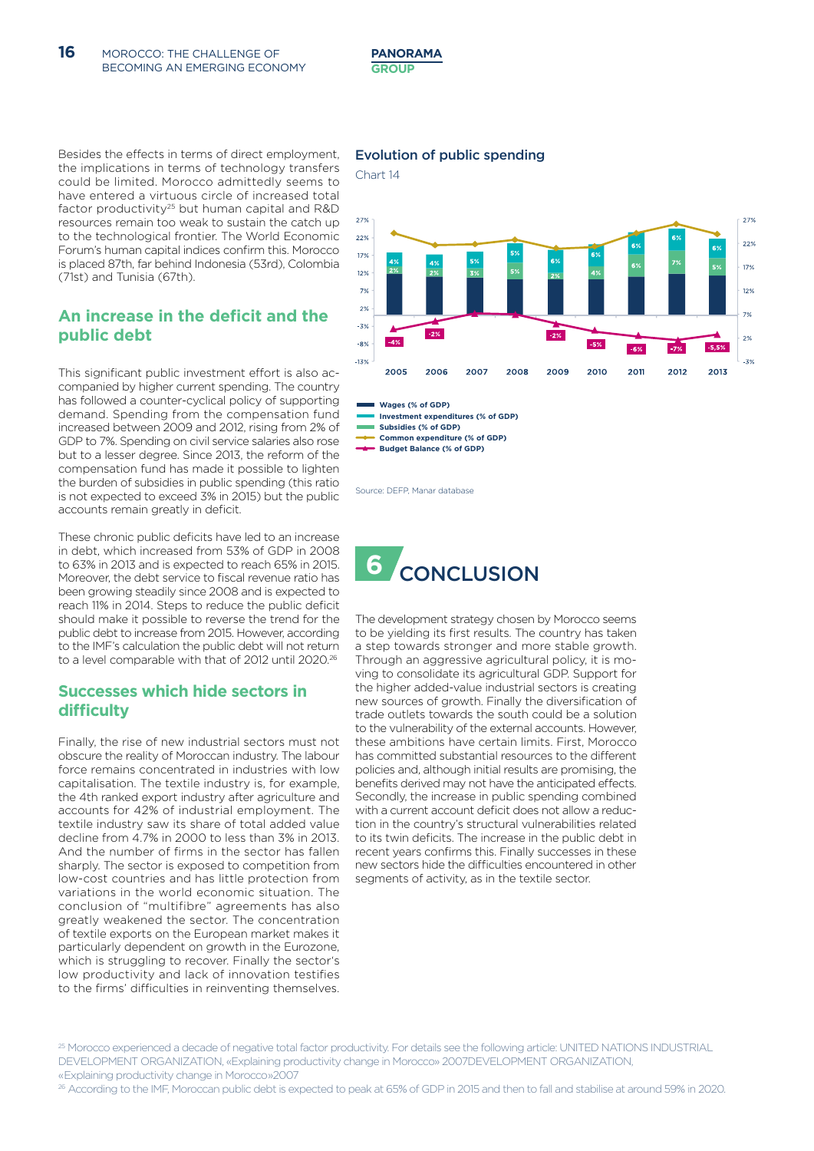Besides the effects in terms of direct employment, the implications in terms of technology transfers could be limited. Morocco admittedly seems to have entered a virtuous circle of increased total factor productivity<sup>25</sup> but human capital and R&D resources remain too weak to sustain the catch up to the technological frontier. The World Economic Forum's human capital indices confirm this. Morocco is placed 87th, far behind Indonesia (53rd), Colombia (71st) and Tunisia (67th).

#### **An increase in the deficit and the public debt**

This significant public investment effort is also accompanied by higher current spending. The country has followed a counter-cyclical policy of supporting demand. Spending from the compensation fund increased between 2009 and 2012, rising from 2% of GDP to 7%. Spending on civil service salaries also rose but to a lesser degree. Since 2013, the reform of the compensation fund has made it possible to lighten the burden of subsidies in public spending (this ratio is not expected to exceed 3% in 2015) but the public accounts remain greatly in deficit.

These chronic public deficits have led to an increase in debt, which increased from 53% of GDP in 2008 to 63% in 2013 and is expected to reach 65% in 2015. Moreover, the debt service to fiscal revenue ratio has been growing steadily since 2008 and is expected to reach 11% in 2014. Steps to reduce the public deficit should make it possible to reverse the trend for the public debt to increase from 2015. However, according to the IMF's calculation the public debt will not return to a level comparable with that of 2012 until 2020.26

#### **Successes which hide sectors in difficulty**

Finally, the rise of new industrial sectors must not obscure the reality of Moroccan industry. The labour force remains concentrated in industries with low capitalisation. The textile industry is, for example, the 4th ranked export industry after agriculture and accounts for 42% of industrial employment. The textile industry saw its share of total added value decline from 4.7% in 2000 to less than 3% in 2013. And the number of firms in the sector has fallen sharply. The sector is exposed to competition from low-cost countries and has little protection from variations in the world economic situation. The conclusion of "multifibre" agreements has also greatly weakened the sector. The concentration of textile exports on the European market makes it particularly dependent on growth in the Eurozone, which is struggling to recover. Finally the sector's low productivity and lack of innovation testifies to the firms' difficulties in reinventing themselves.

#### Evolution of public spending





**Investment expenditures (% of GDP) Wages (% of GDP)**

**Subsidies (% of GDP)**

**Common expenditure (% of GDP)**

**Budget Balance (% of GDP)**

Source: DEFP, Manar database



The development strategy chosen by Morocco seems to be yielding its first results. The country has taken a step towards stronger and more stable growth. Through an aggressive agricultural policy, it is moving to consolidate its agricultural GDP. Support for the higher added-value industrial sectors is creating new sources of growth. Finally the diversification of trade outlets towards the south could be a solution to the vulnerability of the external accounts. However, these ambitions have certain limits. First, Morocco has committed substantial resources to the different policies and, although initial results are promising, the benefits derived may not have the anticipated effects. Secondly, the increase in public spending combined with a current account deficit does not allow a reduction in the country's structural vulnerabilities related to its twin deficits. The increase in the public debt in recent years confirms this. Finally successes in these new sectors hide the difficulties encountered in other segments of activity, as in the textile sector.

25 Morocco experienced a decade of negative total factor productivity. For details see the following article: UNITED NATIONS INDUSTRIAL DEVELOPMENT ORGANIZATION, «Explaining productivity change in Morocco» 2007DEVELOPMENT ORGANIZATION, « Explaining productivity change in Morocco »2007

26 According to the IMF, Moroccan public debt is expected to peak at 65% of GDP in 2015 and then to fall and stabilise at around 59% in 2020.